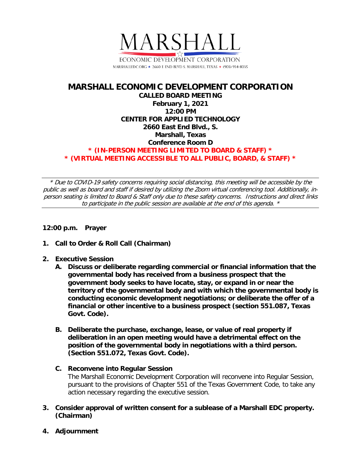

## **MARSHALL ECONOMIC DEVELOPMENT CORPORATION CALLED BOARD MEETING February 1, 2021 12:00 PM CENTER FOR APPLIED TECHNOLOGY 2660 East End Blvd., S. Marshall, Texas Conference Room D \* (IN-PERSON MEETING LIMITED TO BOARD & STAFF) \* \* (VIRTUAL MEETING ACCESSIBLE TO ALL PUBLIC, BOARD, & STAFF) \***

\* Due to COVID-19 safety concerns requiring social distancing, this meeting will be accessible by the public as well as board and staff if desired by utilizing the Zoom virtual conferencing tool. Additionally, inperson seating is limited to Board & Staff only due to these safety concerns. Instructions and direct links to participate in the public session are available at the end of this agenda. \*

## **12:00 p.m. Prayer**

- **1. Call to Order & Roll Call (Chairman)**
- **2. Executive Session**
	- **A. Discuss or deliberate regarding commercial or financial information that the governmental body has received from a business prospect that the government body seeks to have locate, stay, or expand in or near the territory of the governmental body and with which the governmental body is conducting economic development negotiations; or deliberate the offer of a financial or other incentive to a business prospect (section 551.087, Texas Govt. Code).**
	- **B. Deliberate the purchase, exchange, lease, or value of real property if deliberation in an open meeting would have a detrimental effect on the position of the governmental body in negotiations with a third person. (Section 551.072, Texas Govt. Code).**
	- **C. Reconvene into Regular Session** The Marshall Economic Development Corporation will reconvene into Regular Session, pursuant to the provisions of Chapter 551 of the Texas Government Code, to take any action necessary regarding the executive session.
- **3. Consider approval of written consent for a sublease of a Marshall EDC property. (Chairman)**
- **4. Adjournment**